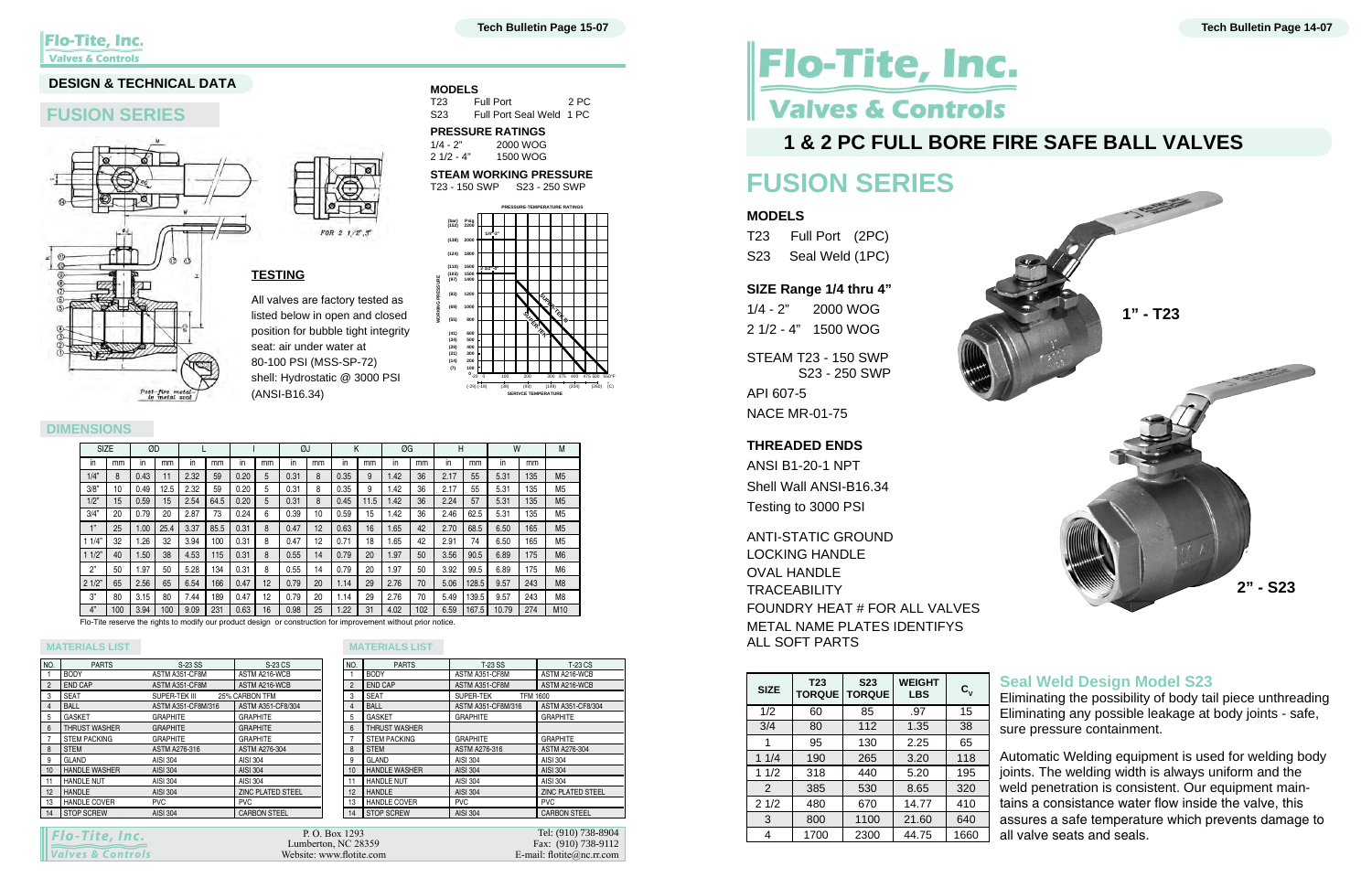# Flo-Tite, Inc. **Valves & Controls**

### **1 & 2 pc full bore fire safe ball valves**

## **FUSION SERIES**

### **MODELS**

T23 Full Port (2PC) S23 Seal Weld (1PC)

### **SIZE Range 1/4 thru 4"**

1/4 - 2" 2000 WOG 2 1/2 - 4" 1500 WOG STEAM T23 - 150 SWP S23 - 250 SWP API 607-5

NACE MR-01-75

### **THREADED ENDS**

ANSI B1-20-1 NPT Shell Wall ANSI-B16.34 Testing to 3000 PSI

ANTI-STATIC GROUND LOCKING HANDLE OVAL HANDLE **TRACEABILITY** FOUNDRY HEAT # FOR ALL VALVES METAL NAME PLATES IDENTIFYS ALL SOFT PARTS

| <b>SIZE</b> | T <sub>23</sub> | <b>S23</b><br><b>TORQUE   TORQUE</b> | <b>WEIGHT</b><br><b>LBS</b> | $\mathbf{c}_{\mathsf{v}}$ |
|-------------|-----------------|--------------------------------------|-----------------------------|---------------------------|
| 1/2         | 60              | 85                                   | .97                         | 15                        |
| 3/4         | 80              | 112                                  | 1.35                        | 38                        |
| 1           | 95              | 130                                  | 2.25                        | 65                        |
| 11/4        | 190             | 265                                  | 3.20                        | 118                       |
| 11/2        | 318             | 440                                  | 5.20                        | 195                       |
| 2           | 385             | 530                                  | 8.65                        | 320                       |
| 21/2        | 480             | 670                                  | 14.77                       | 410                       |
| 3           | 800             | 1100                                 | 21.60                       | 640                       |
| 4           | 1700            | 2300                                 | 44.75                       | 1660                      |



### **Seal Weld Design Model S23**

Eliminating the possibility of body tail piece unthreading Eliminating any possible leakage at body joints - safe, sure pressure containment.

Automatic Welding equipment is used for welding body joints. The welding width is always uniform and the weld penetration is consistent. Our equipment maintains a consistance water flow inside the valve, this assures a safe temperature which prevents damage to all valve seats and seals.